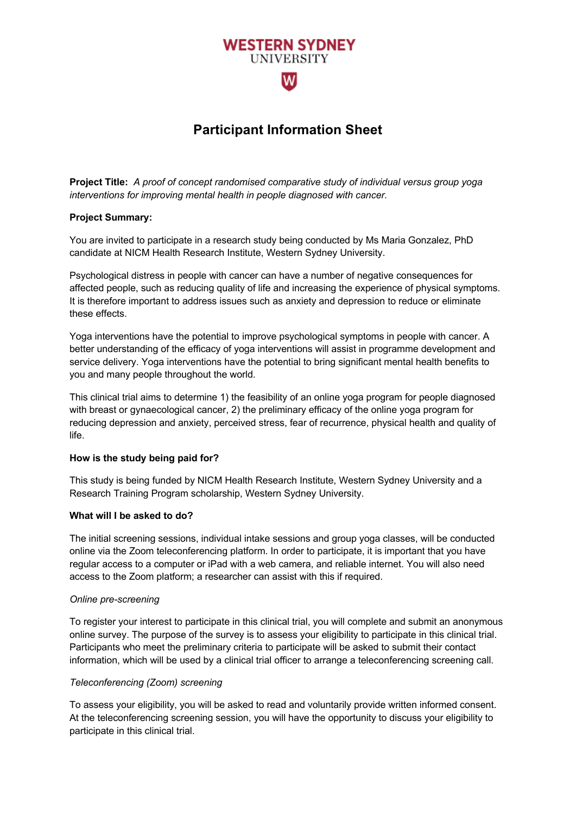# **Participant Information Sheet**

**WESTERN SYDNEY UNIVERSITY** 

wl

**Project Title:** *A proof of concept randomised comparative study of individual versus group yoga interventions for improving mental health in people diagnosed with cancer.*

#### **Project Summary:**

You are invited to participate in a research study being conducted by Ms Maria Gonzalez, PhD candidate at NICM Health Research Institute, Western Sydney University.

Psychological distress in people with cancer can have a number of negative consequences for affected people, such as reducing quality of life and increasing the experience of physical symptoms. It is therefore important to address issues such as anxiety and depression to reduce or eliminate these effects.

Yoga interventions have the potential to improve psychological symptoms in people with cancer. A better understanding of the efficacy of yoga interventions will assist in programme development and service delivery. Yoga interventions have the potential to bring significant mental health benefits to you and many people throughout the world.

This clinical trial aims to determine 1) the feasibility of an online yoga program for people diagnosed with breast or gynaecological cancer, 2) the preliminary efficacy of the online yoga program for reducing depression and anxiety, perceived stress, fear of recurrence, physical health and quality of life.

# **How is the study being paid for?**

This study is being funded by NICM Health Research Institute, Western Sydney University and a Research Training Program scholarship, Western Sydney University.

#### **What will I be asked to do?**

The initial screening sessions, individual intake sessions and group yoga classes, will be conducted online via the Zoom teleconferencing platform. In order to participate, it is important that you have regular access to a computer or iPad with a web camera, and reliable internet. You will also need access to the Zoom platform; a researcher can assist with this if required.

#### *Online pre-screening*

To register your interest to participate in this clinical trial, you will complete and submit an anonymous online survey. The purpose of the survey is to assess your eligibility to participate in this clinical trial. Participants who meet the preliminary criteria to participate will be asked to submit their contact information, which will be used by a clinical trial officer to arrange a teleconferencing screening call.

#### *Teleconferencing (Zoom) screening*

To assess your eligibility, you will be asked to read and voluntarily provide written informed consent. At the teleconferencing screening session, you will have the opportunity to discuss your eligibility to participate in this clinical trial.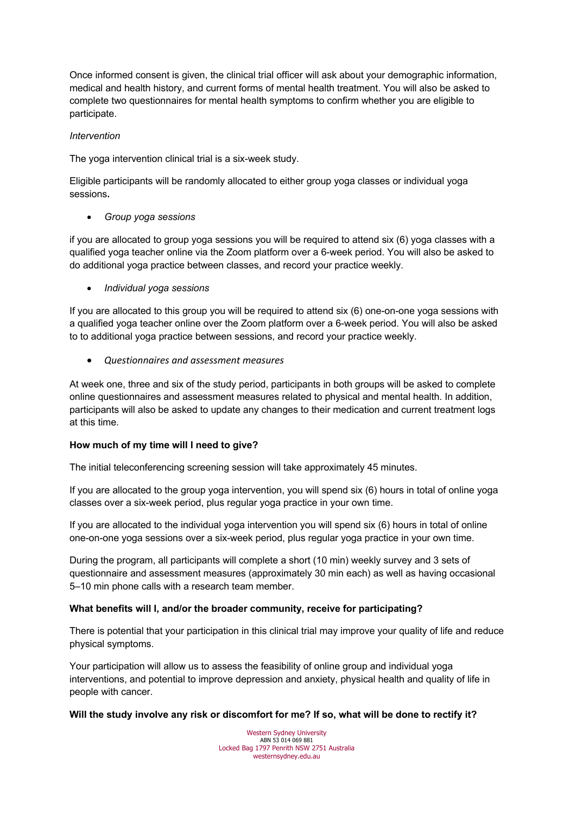Once informed consent is given, the clinical trial officer will ask about your demographic information, medical and health history, and current forms of mental health treatment. You will also be asked to complete two questionnaires for mental health symptoms to confirm whether you are eligible to participate.

### *Intervention*

The yoga intervention clinical trial is a six-week study.

Eligible participants will be randomly allocated to either group yoga classes or individual yoga sessions**.** 

• *Group yoga sessions*

if you are allocated to group yoga sessions you will be required to attend six (6) yoga classes with a qualified yoga teacher online via the Zoom platform over a 6-week period. You will also be asked to do additional yoga practice between classes, and record your practice weekly.

• *Individual yoga sessions*

If you are allocated to this group you will be required to attend six (6) one-on-one yoga sessions with a qualified yoga teacher online over the Zoom platform over a 6-week period. You will also be asked to to additional yoga practice between sessions, and record your practice weekly.

• *Questionnaires and assessment measures*

At week one, three and six of the study period, participants in both groups will be asked to complete online questionnaires and assessment measures related to physical and mental health. In addition, participants will also be asked to update any changes to their medication and current treatment logs at this time.

# **How much of my time will I need to give?**

The initial teleconferencing screening session will take approximately 45 minutes.

If you are allocated to the group yoga intervention, you will spend six (6) hours in total of online yoga classes over a six-week period, plus regular yoga practice in your own time.

If you are allocated to the individual yoga intervention you will spend six (6) hours in total of online one-on-one yoga sessions over a six-week period, plus regular yoga practice in your own time.

During the program, all participants will complete a short (10 min) weekly survey and 3 sets of questionnaire and assessment measures (approximately 30 min each) as well as having occasional 5–10 min phone calls with a research team member.

# **What benefits will I, and/or the broader community, receive for participating?**

There is potential that your participation in this clinical trial may improve your quality of life and reduce physical symptoms.

Your participation will allow us to assess the feasibility of online group and individual yoga interventions, and potential to improve depression and anxiety, physical health and quality of life in people with cancer.

# **Will the study involve any risk or discomfort for me? If so, what will be done to rectify it?**

Western Sydney University ABN 53 014 069 881 Locked Bag 1797 Penrith NSW 2751 Australia westernsydney.edu.au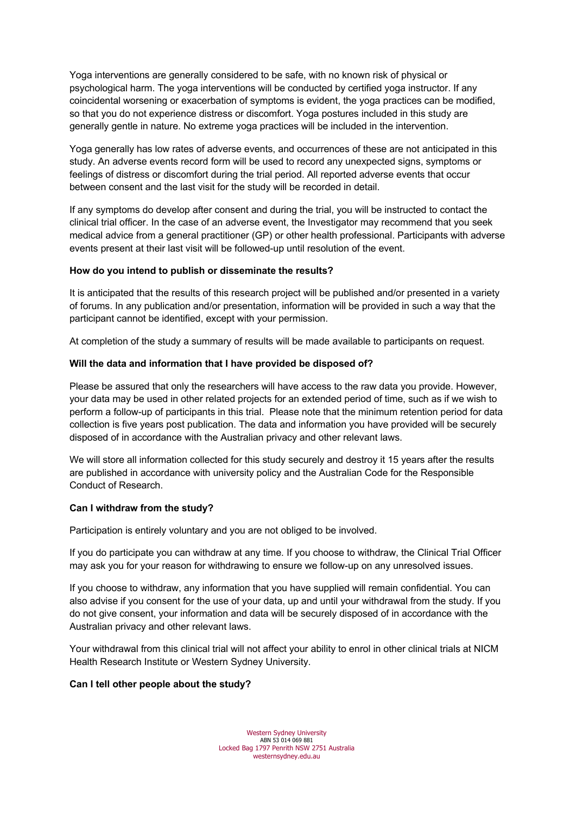Yoga interventions are generally considered to be safe, with no known risk of physical or psychological harm. The yoga interventions will be conducted by certified yoga instructor. If any coincidental worsening or exacerbation of symptoms is evident, the yoga practices can be modified, so that you do not experience distress or discomfort. Yoga postures included in this study are generally gentle in nature. No extreme yoga practices will be included in the intervention.

Yoga generally has low rates of adverse events, and occurrences of these are not anticipated in this study. An adverse events record form will be used to record any unexpected signs, symptoms or feelings of distress or discomfort during the trial period. All reported adverse events that occur between consent and the last visit for the study will be recorded in detail.

If any symptoms do develop after consent and during the trial, you will be instructed to contact the clinical trial officer. In the case of an adverse event, the Investigator may recommend that you seek medical advice from a general practitioner (GP) or other health professional. Participants with adverse events present at their last visit will be followed-up until resolution of the event.

# **How do you intend to publish or disseminate the results?**

It is anticipated that the results of this research project will be published and/or presented in a variety of forums. In any publication and/or presentation, information will be provided in such a way that the participant cannot be identified, except with your permission.

At completion of the study a summary of results will be made available to participants on request.

#### **Will the data and information that I have provided be disposed of?**

Please be assured that only the researchers will have access to the raw data you provide. However, your data may be used in other related projects for an extended period of time, such as if we wish to perform a follow-up of participants in this trial. Please note that the minimum retention period for data collection is five years post publication. The data and information you have provided will be securely disposed of in accordance with the Australian privacy and other relevant laws.

We will store all information collected for this study securely and destroy it 15 years after the results are published in accordance with university policy and the Australian Code for the Responsible Conduct of Research.

#### **Can I withdraw from the study?**

Participation is entirely voluntary and you are not obliged to be involved.

If you do participate you can withdraw at any time*.* If you choose to withdraw, the Clinical Trial Officer may ask you for your reason for withdrawing to ensure we follow-up on any unresolved issues.

If you choose to withdraw, any information that you have supplied will remain confidential. You can also advise if you consent for the use of your data, up and until your withdrawal from the study. If you do not give consent, your information and data will be securely disposed of in accordance with the Australian privacy and other relevant laws.

Your withdrawal from this clinical trial will not affect your ability to enrol in other clinical trials at NICM Health Research Institute or Western Sydney University.

#### **Can I tell other people about the study?**

Western Sydney University ABN 53 014 069 881 Locked Bag 1797 Penrith NSW 2751 Australia westernsydney.edu.au